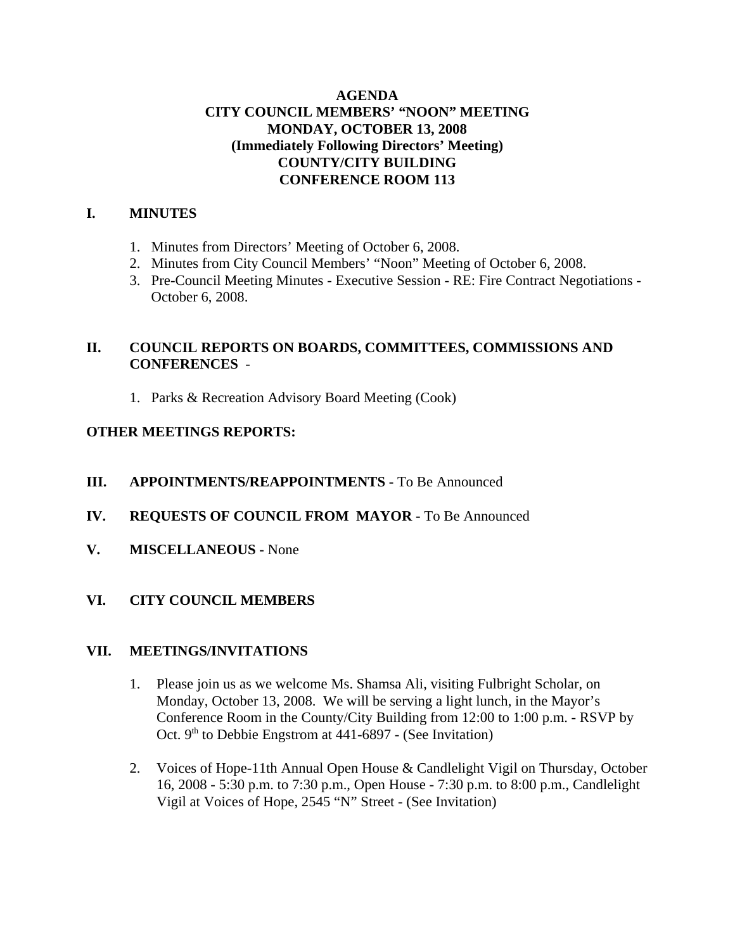## **AGENDA CITY COUNCIL MEMBERS' "NOON" MEETING MONDAY, OCTOBER 13, 2008 (Immediately Following Directors' Meeting) COUNTY/CITY BUILDING CONFERENCE ROOM 113**

## **I. MINUTES**

- 1. Minutes from Directors' Meeting of October 6, 2008.
- 2. Minutes from City Council Members' "Noon" Meeting of October 6, 2008.
- 3. Pre-Council Meeting Minutes Executive Session RE: Fire Contract Negotiations October 6, 2008.

## **II. COUNCIL REPORTS ON BOARDS, COMMITTEES, COMMISSIONS AND CONFERENCES** -

1. Parks & Recreation Advisory Board Meeting (Cook)

## **OTHER MEETINGS REPORTS:**

- **III.** APPOINTMENTS/REAPPOINTMENTS To Be Announced
- **IV. REQUESTS OF COUNCIL FROM MAYOR -** To Be Announced
- **V. MISCELLANEOUS -** None

# **VI. CITY COUNCIL MEMBERS**

## **VII. MEETINGS/INVITATIONS**

- 1. Please join us as we welcome Ms. Shamsa Ali, visiting Fulbright Scholar, on Monday, October 13, 2008. We will be serving a light lunch, in the Mayor's Conference Room in the County/City Building from 12:00 to 1:00 p.m. - RSVP by Oct. 9<sup>th</sup> to Debbie Engstrom at 441-6897 - (See Invitation)
- 2. Voices of Hope-11th Annual Open House & Candlelight Vigil on Thursday, October 16, 2008 - 5:30 p.m. to 7:30 p.m., Open House - 7:30 p.m. to 8:00 p.m., Candlelight Vigil at Voices of Hope, 2545 "N" Street - (See Invitation)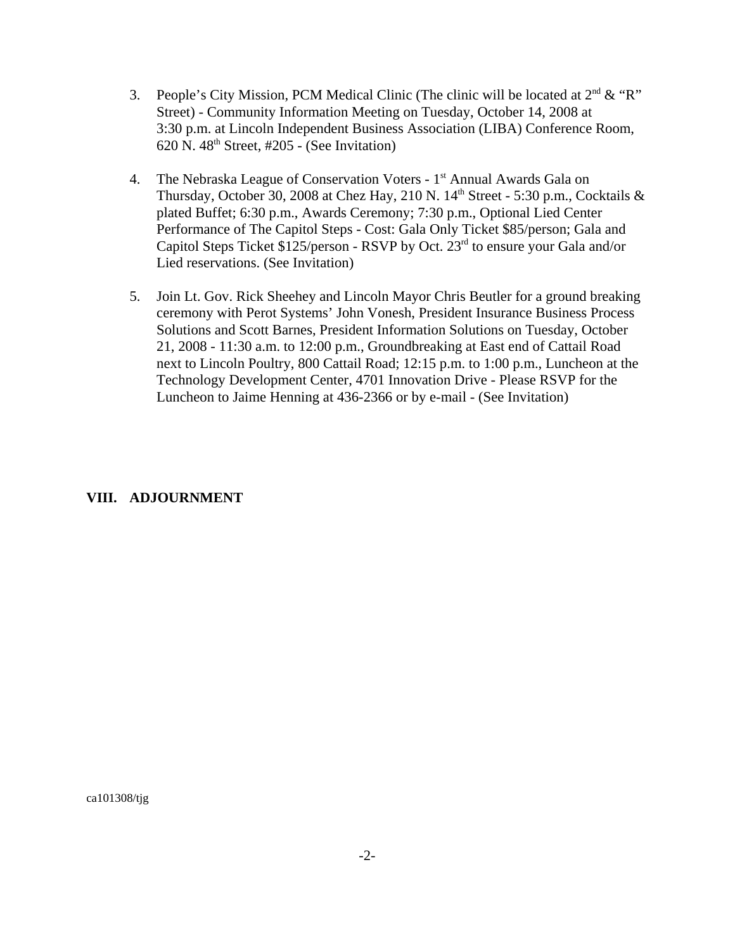- 3. People's City Mission, PCM Medical Clinic (The clinic will be located at  $2<sup>nd</sup> \& 'R'$ ) Street) - Community Information Meeting on Tuesday, October 14, 2008 at 3:30 p.m. at Lincoln Independent Business Association (LIBA) Conference Room,  $620$  N.  $48<sup>th</sup>$  Street, #205 - (See Invitation)
- 4. The Nebraska League of Conservation Voters 1<sup>st</sup> Annual Awards Gala on Thursday, October 30, 2008 at Chez Hay, 210 N.  $14<sup>th</sup>$  Street - 5:30 p.m., Cocktails & plated Buffet; 6:30 p.m., Awards Ceremony; 7:30 p.m., Optional Lied Center Performance of The Capitol Steps - Cost: Gala Only Ticket \$85/person; Gala and Capitol Steps Ticket  $$125/person - RSVP$  by Oct.  $23<sup>rd</sup>$  to ensure your Gala and/or Lied reservations. (See Invitation)
- 5. Join Lt. Gov. Rick Sheehey and Lincoln Mayor Chris Beutler for a ground breaking ceremony with Perot Systems' John Vonesh, President Insurance Business Process Solutions and Scott Barnes, President Information Solutions on Tuesday, October 21, 2008 - 11:30 a.m. to 12:00 p.m., Groundbreaking at East end of Cattail Road next to Lincoln Poultry, 800 Cattail Road; 12:15 p.m. to 1:00 p.m., Luncheon at the Technology Development Center, 4701 Innovation Drive - Please RSVP for the Luncheon to Jaime Henning at 436-2366 or by e-mail - (See Invitation)

#### **VIII. ADJOURNMENT**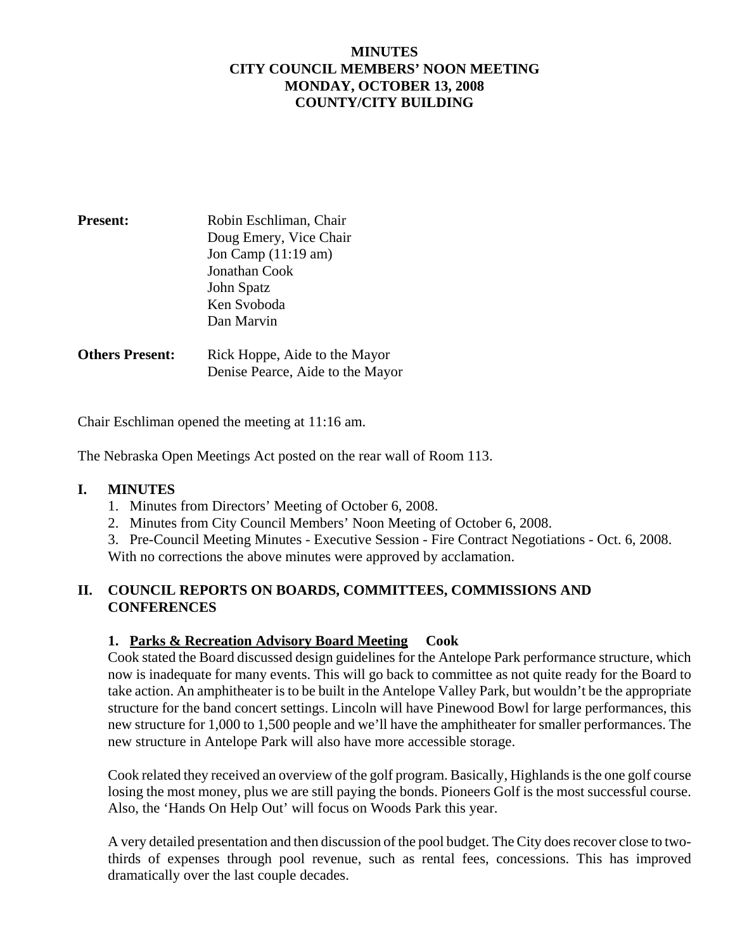## **MINUTES CITY COUNCIL MEMBERS' NOON MEETING MONDAY, OCTOBER 13, 2008 COUNTY/CITY BUILDING**

| <b>Present:</b> | Robin Eschliman, Chair |
|-----------------|------------------------|
|                 | Doug Emery, Vice Chair |
|                 | Jon Camp $(11:19$ am)  |
|                 | Jonathan Cook          |
|                 | John Spatz             |
|                 | Ken Svoboda            |
|                 | Dan Marvin             |
|                 |                        |

**Others Present:** Rick Hoppe, Aide to the Mayor Denise Pearce, Aide to the Mayor

Chair Eschliman opened the meeting at 11:16 am.

The Nebraska Open Meetings Act posted on the rear wall of Room 113.

#### **I. MINUTES**

- 1. Minutes from Directors' Meeting of October 6, 2008.
- 2. Minutes from City Council Members' Noon Meeting of October 6, 2008.
- 3. Pre-Council Meeting Minutes Executive Session Fire Contract Negotiations Oct. 6, 2008. With no corrections the above minutes were approved by acclamation.

## **II. COUNCIL REPORTS ON BOARDS, COMMITTEES, COMMISSIONS AND CONFERENCES**

## **1. Parks & Recreation Advisory Board Meeting Cook**

Cook stated the Board discussed design guidelines for the Antelope Park performance structure, which now is inadequate for many events. This will go back to committee as not quite ready for the Board to take action. An amphitheater is to be built in the Antelope Valley Park, but wouldn't be the appropriate structure for the band concert settings. Lincoln will have Pinewood Bowl for large performances, this new structure for 1,000 to 1,500 people and we'll have the amphitheater for smaller performances. The new structure in Antelope Park will also have more accessible storage.

Cook related they received an overview of the golf program. Basically, Highlands is the one golf course losing the most money, plus we are still paying the bonds. Pioneers Golf is the most successful course. Also, the 'Hands On Help Out' will focus on Woods Park this year.

A very detailed presentation and then discussion of the pool budget. The City does recover close to twothirds of expenses through pool revenue, such as rental fees, concessions. This has improved dramatically over the last couple decades.